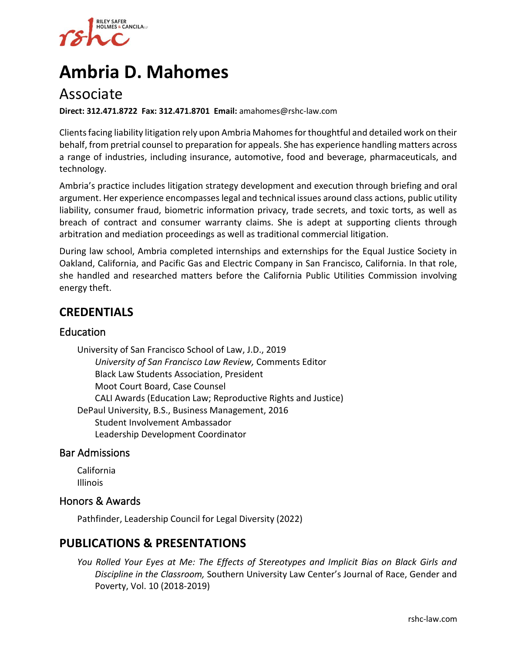

# **Ambria D. Mahomes**

# Associate

**Direct: 312.471.8722 Fax: 312.471.8701 Email:** amahomes@rshc-law.com

Clients facing liability litigation rely upon Ambria Mahomes for thoughtful and detailed work on their behalf, from pretrial counsel to preparation for appeals. She has experience handling matters across a range of industries, including insurance, automotive, food and beverage, pharmaceuticals, and technology.

Ambria's practice includes litigation strategy development and execution through briefing and oral argument. Her experience encompasses legal and technical issues around class actions, public utility liability, consumer fraud, biometric information privacy, trade secrets, and toxic torts, as well as breach of contract and consumer warranty claims. She is adept at supporting clients through arbitration and mediation proceedings as well as traditional commercial litigation.

During law school, Ambria completed internships and externships for the Equal Justice Society in Oakland, California, and Pacific Gas and Electric Company in San Francisco, California. In that role, she handled and researched matters before the California Public Utilities Commission involving energy theft.

# **CREDENTIALS**

#### Education

University of San Francisco School of Law, J.D., 2019 *University of San Francisco Law Review,* Comments Editor Black Law Students Association, President Moot Court Board, Case Counsel CALI Awards (Education Law; Reproductive Rights and Justice) DePaul University, B.S., Business Management, 2016 Student Involvement Ambassador Leadership Development Coordinator

#### Bar Admissions

California Illinois

#### Honors & Awards

Pathfinder, Leadership Council for Legal Diversity (2022)

### **PUBLICATIONS & PRESENTATIONS**

*You Rolled Your Eyes at Me: The Effects of Stereotypes and Implicit Bias on Black Girls and Discipline in the Classroom,* Southern University Law Center's Journal of Race, Gender and Poverty, Vol. 10 (2018-2019)